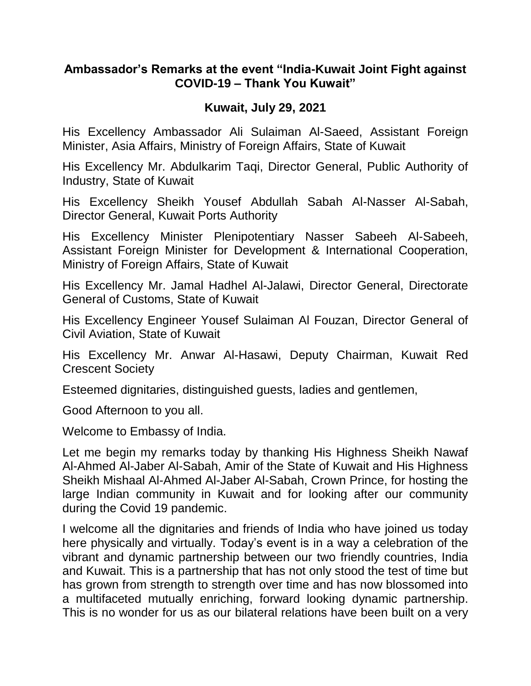## **Ambassador's Remarks at the event "India-Kuwait Joint Fight against COVID-19 – Thank You Kuwait"**

## **Kuwait, July 29, 2021**

His Excellency Ambassador Ali Sulaiman Al-Saeed, Assistant Foreign Minister, Asia Affairs, Ministry of Foreign Affairs, State of Kuwait

His Excellency Mr. Abdulkarim Taqi, Director General, Public Authority of Industry, State of Kuwait

His Excellency Sheikh Yousef Abdullah Sabah Al-Nasser Al-Sabah, Director General, Kuwait Ports Authority

His Excellency Minister Plenipotentiary Nasser Sabeeh Al-Sabeeh, Assistant Foreign Minister for Development & International Cooperation, Ministry of Foreign Affairs, State of Kuwait

His Excellency Mr. Jamal Hadhel Al-Jalawi, Director General, Directorate General of Customs, State of Kuwait

His Excellency Engineer Yousef Sulaiman Al Fouzan, Director General of Civil Aviation, State of Kuwait

His Excellency Mr. Anwar Al-Hasawi, Deputy Chairman, Kuwait Red Crescent Society

Esteemed dignitaries, distinguished guests, ladies and gentlemen,

Good Afternoon to you all.

Welcome to Embassy of India.

Let me begin my remarks today by thanking His Highness Sheikh Nawaf Al-Ahmed Al-Jaber Al-Sabah, Amir of the State of Kuwait and His Highness Sheikh Mishaal Al-Ahmed Al-Jaber Al-Sabah, Crown Prince, for hosting the large Indian community in Kuwait and for looking after our community during the Covid 19 pandemic.

I welcome all the dignitaries and friends of India who have joined us today here physically and virtually. Today's event is in a way a celebration of the vibrant and dynamic partnership between our two friendly countries, India and Kuwait. This is a partnership that has not only stood the test of time but has grown from strength to strength over time and has now blossomed into a multifaceted mutually enriching, forward looking dynamic partnership. This is no wonder for us as our bilateral relations have been built on a very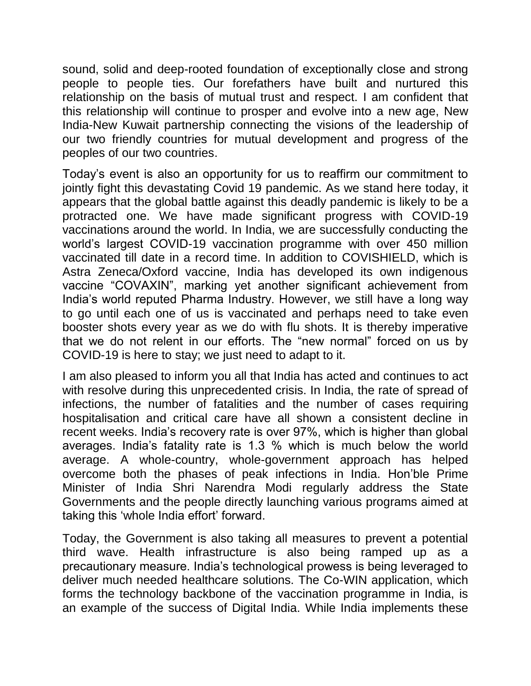sound, solid and deep-rooted foundation of exceptionally close and strong people to people ties. Our forefathers have built and nurtured this relationship on the basis of mutual trust and respect. I am confident that this relationship will continue to prosper and evolve into a new age, New India-New Kuwait partnership connecting the visions of the leadership of our two friendly countries for mutual development and progress of the peoples of our two countries.

Today's event is also an opportunity for us to reaffirm our commitment to jointly fight this devastating Covid 19 pandemic. As we stand here today, it appears that the global battle against this deadly pandemic is likely to be a protracted one. We have made significant progress with COVID-19 vaccinations around the world. In India, we are successfully conducting the world's largest COVID-19 vaccination programme with over 450 million vaccinated till date in a record time. In addition to COVISHIELD, which is Astra Zeneca/Oxford vaccine, India has developed its own indigenous vaccine "COVAXIN", marking yet another significant achievement from India's world reputed Pharma Industry. However, we still have a long way to go until each one of us is vaccinated and perhaps need to take even booster shots every year as we do with flu shots. It is thereby imperative that we do not relent in our efforts. The "new normal" forced on us by COVID-19 is here to stay; we just need to adapt to it.

I am also pleased to inform you all that India has acted and continues to act with resolve during this unprecedented crisis. In India, the rate of spread of infections, the number of fatalities and the number of cases requiring hospitalisation and critical care have all shown a consistent decline in recent weeks. India's recovery rate is over 97%, which is higher than global averages. India's fatality rate is 1.3 % which is much below the world average. A whole-country, whole-government approach has helped overcome both the phases of peak infections in India. Hon'ble Prime Minister of India Shri Narendra Modi regularly address the State Governments and the people directly launching various programs aimed at taking this 'whole India effort' forward.

Today, the Government is also taking all measures to prevent a potential third wave. Health infrastructure is also being ramped up as a precautionary measure. India's technological prowess is being leveraged to deliver much needed healthcare solutions. The Co-WIN application, which forms the technology backbone of the vaccination programme in India, is an example of the success of Digital India. While India implements these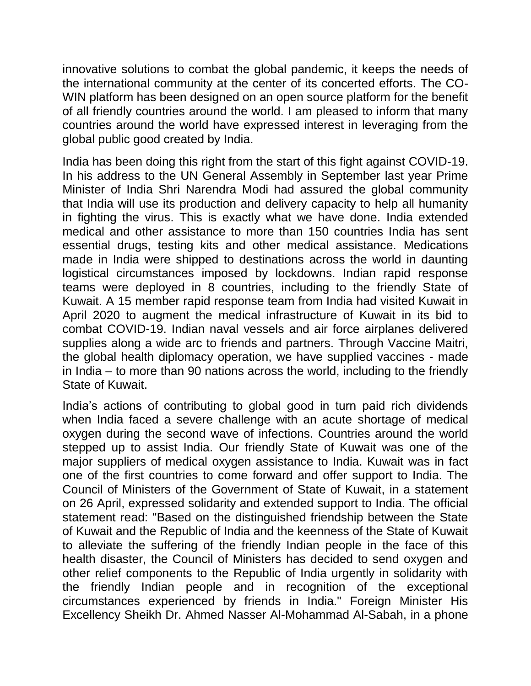innovative solutions to combat the global pandemic, it keeps the needs of the international community at the center of its concerted efforts. The CO-WIN platform has been designed on an open source platform for the benefit of all friendly countries around the world. I am pleased to inform that many countries around the world have expressed interest in leveraging from the global public good created by India.

India has been doing this right from the start of this fight against COVID-19. In his address to the UN General Assembly in September last year Prime Minister of India Shri Narendra Modi had assured the global community that India will use its production and delivery capacity to help all humanity in fighting the virus. This is exactly what we have done. India extended medical and other assistance to more than 150 countries India has sent essential drugs, testing kits and other medical assistance. Medications made in India were shipped to destinations across the world in daunting logistical circumstances imposed by lockdowns. Indian rapid response teams were deployed in 8 countries, including to the friendly State of Kuwait. A 15 member rapid response team from India had visited Kuwait in April 2020 to augment the medical infrastructure of Kuwait in its bid to combat COVID-19. Indian naval vessels and air force airplanes delivered supplies along a wide arc to friends and partners. Through Vaccine Maitri, the global health diplomacy operation, we have supplied vaccines - made in India – to more than 90 nations across the world, including to the friendly State of Kuwait.

India's actions of contributing to global good in turn paid rich dividends when India faced a severe challenge with an acute shortage of medical oxygen during the second wave of infections. Countries around the world stepped up to assist India. Our friendly State of Kuwait was one of the major suppliers of medical oxygen assistance to India. Kuwait was in fact one of the first countries to come forward and offer support to India. The Council of Ministers of the Government of State of Kuwait, in a statement on 26 April, expressed solidarity and extended support to India. The official statement read: "Based on the distinguished friendship between the State of Kuwait and the Republic of India and the keenness of the State of Kuwait to alleviate the suffering of the friendly Indian people in the face of this health disaster, the Council of Ministers has decided to send oxygen and other relief components to the Republic of India urgently in solidarity with the friendly Indian people and in recognition of the exceptional circumstances experienced by friends in India." Foreign Minister His Excellency Sheikh Dr. Ahmed Nasser Al-Mohammad Al-Sabah, in a phone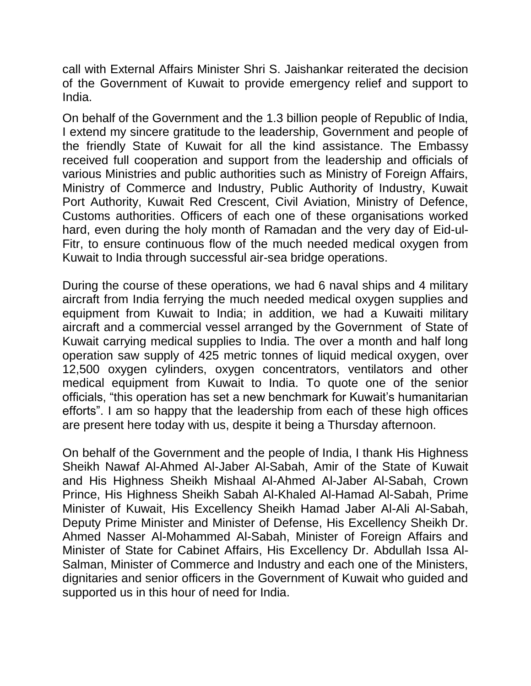call with External Affairs Minister Shri S. Jaishankar reiterated the decision of the Government of Kuwait to provide emergency relief and support to India.

On behalf of the Government and the 1.3 billion people of Republic of India, I extend my sincere gratitude to the leadership, Government and people of the friendly State of Kuwait for all the kind assistance. The Embassy received full cooperation and support from the leadership and officials of various Ministries and public authorities such as Ministry of Foreign Affairs, Ministry of Commerce and Industry, Public Authority of Industry, Kuwait Port Authority, Kuwait Red Crescent, Civil Aviation, Ministry of Defence, Customs authorities. Officers of each one of these organisations worked hard, even during the holy month of Ramadan and the very day of Eid-ul-Fitr, to ensure continuous flow of the much needed medical oxygen from Kuwait to India through successful air-sea bridge operations.

During the course of these operations, we had 6 naval ships and 4 military aircraft from India ferrying the much needed medical oxygen supplies and equipment from Kuwait to India; in addition, we had a Kuwaiti military aircraft and a commercial vessel arranged by the Government of State of Kuwait carrying medical supplies to India. The over a month and half long operation saw supply of 425 metric tonnes of liquid medical oxygen, over 12,500 oxygen cylinders, oxygen concentrators, ventilators and other medical equipment from Kuwait to India. To quote one of the senior officials, "this operation has set a new benchmark for Kuwait's humanitarian efforts". I am so happy that the leadership from each of these high offices are present here today with us, despite it being a Thursday afternoon.

On behalf of the Government and the people of India, I thank His Highness Sheikh Nawaf Al-Ahmed Al-Jaber Al-Sabah, Amir of the State of Kuwait and His Highness Sheikh Mishaal Al-Ahmed Al-Jaber Al-Sabah, Crown Prince, His Highness Sheikh Sabah Al-Khaled Al-Hamad Al-Sabah, Prime Minister of Kuwait, His Excellency Sheikh Hamad Jaber Al-Ali Al-Sabah, Deputy Prime Minister and Minister of Defense, His Excellency Sheikh Dr. Ahmed Nasser Al-Mohammed Al-Sabah, Minister of Foreign Affairs and Minister of State for Cabinet Affairs, His Excellency Dr. Abdullah Issa Al-Salman, Minister of Commerce and Industry and each one of the Ministers, dignitaries and senior officers in the Government of Kuwait who guided and supported us in this hour of need for India.